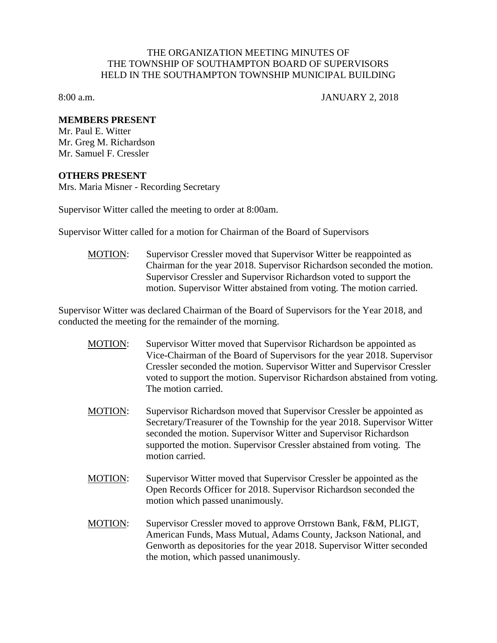## THE ORGANIZATION MEETING MINUTES OF THE TOWNSHIP OF SOUTHAMPTON BOARD OF SUPERVISORS HELD IN THE SOUTHAMPTON TOWNSHIP MUNICIPAL BUILDING

8:00 a.m. JANUARY 2, 2018

## **MEMBERS PRESENT**

Mr. Paul E. Witter Mr. Greg M. Richardson Mr. Samuel F. Cressler

## **OTHERS PRESENT**

Mrs. Maria Misner - Recording Secretary

Supervisor Witter called the meeting to order at 8:00am.

Supervisor Witter called for a motion for Chairman of the Board of Supervisors

MOTION: Supervisor Cressler moved that Supervisor Witter be reappointed as Chairman for the year 2018. Supervisor Richardson seconded the motion. Supervisor Cressler and Supervisor Richardson voted to support the motion. Supervisor Witter abstained from voting. The motion carried.

Supervisor Witter was declared Chairman of the Board of Supervisors for the Year 2018, and conducted the meeting for the remainder of the morning.

- MOTION: Supervisor Witter moved that Supervisor Richardson be appointed as Vice-Chairman of the Board of Supervisors for the year 2018. Supervisor Cressler seconded the motion. Supervisor Witter and Supervisor Cressler voted to support the motion. Supervisor Richardson abstained from voting. The motion carried.
- MOTION: Supervisor Richardson moved that Supervisor Cressler be appointed as Secretary/Treasurer of the Township for the year 2018. Supervisor Witter seconded the motion. Supervisor Witter and Supervisor Richardson supported the motion. Supervisor Cressler abstained from voting. The motion carried.
- MOTION: Supervisor Witter moved that Supervisor Cressler be appointed as the Open Records Officer for 2018. Supervisor Richardson seconded the motion which passed unanimously.
- MOTION: Supervisor Cressler moved to approve Orrstown Bank, F&M, PLIGT, American Funds, Mass Mutual, Adams County, Jackson National, and Genworth as depositories for the year 2018. Supervisor Witter seconded the motion, which passed unanimously.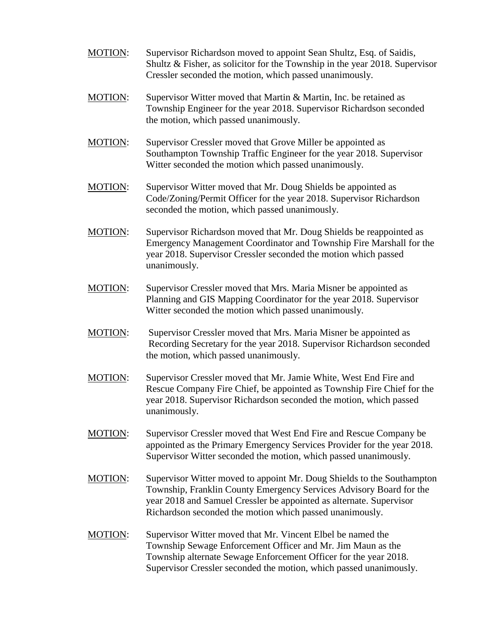- MOTION: Supervisor Richardson moved to appoint Sean Shultz, Esq. of Saidis, Shultz & Fisher, as solicitor for the Township in the year 2018. Supervisor Cressler seconded the motion, which passed unanimously.
- MOTION: Supervisor Witter moved that Martin & Martin, Inc. be retained as Township Engineer for the year 2018. Supervisor Richardson seconded the motion, which passed unanimously.
- MOTION: Supervisor Cressler moved that Grove Miller be appointed as Southampton Township Traffic Engineer for the year 2018. Supervisor Witter seconded the motion which passed unanimously.
- MOTION: Supervisor Witter moved that Mr. Doug Shields be appointed as Code/Zoning/Permit Officer for the year 2018. Supervisor Richardson seconded the motion, which passed unanimously.
- MOTION: Supervisor Richardson moved that Mr. Doug Shields be reappointed as Emergency Management Coordinator and Township Fire Marshall for the year 2018. Supervisor Cressler seconded the motion which passed unanimously.
- MOTION: Supervisor Cressler moved that Mrs. Maria Misner be appointed as Planning and GIS Mapping Coordinator for the year 2018. Supervisor Witter seconded the motion which passed unanimously.
- MOTION: Supervisor Cressler moved that Mrs. Maria Misner be appointed as Recording Secretary for the year 2018. Supervisor Richardson seconded the motion, which passed unanimously.
- MOTION: Supervisor Cressler moved that Mr. Jamie White, West End Fire and Rescue Company Fire Chief, be appointed as Township Fire Chief for the year 2018. Supervisor Richardson seconded the motion, which passed unanimously.
- MOTION: Supervisor Cressler moved that West End Fire and Rescue Company be appointed as the Primary Emergency Services Provider for the year 2018. Supervisor Witter seconded the motion, which passed unanimously.
- MOTION: Supervisor Witter moved to appoint Mr. Doug Shields to the Southampton Township, Franklin County Emergency Services Advisory Board for the year 2018 and Samuel Cressler be appointed as alternate. Supervisor Richardson seconded the motion which passed unanimously.
- MOTION: Supervisor Witter moved that Mr. Vincent Elbel be named the Township Sewage Enforcement Officer and Mr. Jim Maun as the Township alternate Sewage Enforcement Officer for the year 2018. Supervisor Cressler seconded the motion, which passed unanimously.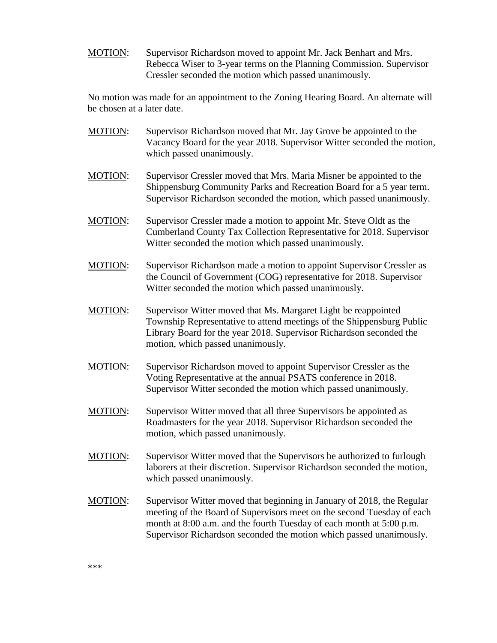MOTION: Supervisor Richardson moved to appoint Mr. Jack Benhart and Mrs. Rebecca Wiser to 3-year terms on the Planning Commission. Supervisor Cressler seconded the motion which passed unanimously.

No motion was made for an appointment to the Zoning Hearing Board. An alternate will be chosen at a later date.

- MOTION: Supervisor Richardson moved that Mr. Jay Grove be appointed to the Vacancy Board for the year 2018. Supervisor Witter seconded the motion, which passed unanimously.
- MOTION: Supervisor Cressler moved that Mrs. Maria Misner be appointed to the Shippensburg Community Parks and Recreation Board for a 5 year term. Supervisor Richardson seconded the motion, which passed unanimously.
- MOTION: Supervisor Cressler made a motion to appoint Mr. Steve Oldt as the Cumberland County Tax Collection Representative for 2018. Supervisor Witter seconded the motion which passed unanimously.
- MOTION: Supervisor Richardson made a motion to appoint Supervisor Cressler as the Council of Government (COG) representative for 2018. Supervisor Witter seconded the motion which passed unanimously.
- MOTION: Supervisor Witter moved that Ms. Margaret Light be reappointed Township Representative to attend meetings of the Shippensburg Public Library Board for the year 2018. Supervisor Richardson seconded the motion, which passed unanimously.
- MOTION: Supervisor Richardson moved to appoint Supervisor Cressler as the Voting Representative at the annual PSATS conference in 2018. Supervisor Witter seconded the motion which passed unanimously.
- MOTION: Supervisor Witter moved that all three Supervisors be appointed as Roadmasters for the year 2018. Supervisor Richardson seconded the motion, which passed unanimously.
- MOTION: Supervisor Witter moved that the Supervisors be authorized to furlough laborers at their discretion. Supervisor Richardson seconded the motion, which passed unanimously.
- MOTION: Supervisor Witter moved that beginning in January of 2018, the Regular meeting of the Board of Supervisors meet on the second Tuesday of each month at 8:00 a.m. and the fourth Tuesday of each month at 5:00 p.m. Supervisor Richardson seconded the motion which passed unanimously.